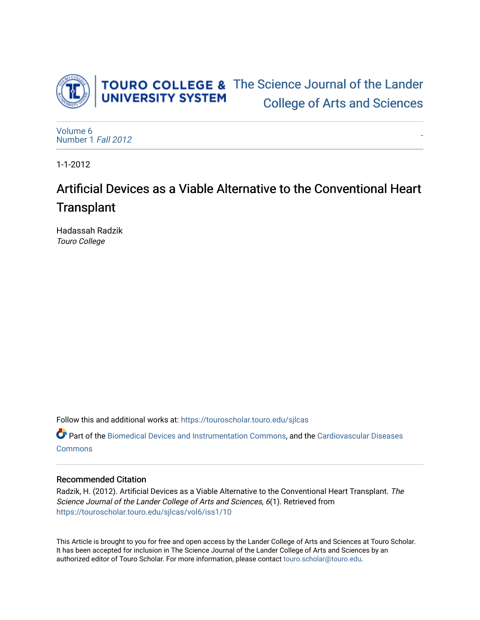

[-](https://touroscholar.touro.edu/sjlcas/vol6/iss1/10) 

[Volume 6](https://touroscholar.touro.edu/sjlcas/vol6) [Number 1](https://touroscholar.touro.edu/sjlcas/vol6/iss1) Fall 2012

1-1-2012

# Artificial Devices as a Viable Alternative to the Conventional Heart **Transplant**

Hadassah Radzik Touro College

Follow this and additional works at: [https://touroscholar.touro.edu/sjlcas](https://touroscholar.touro.edu/sjlcas?utm_source=touroscholar.touro.edu%2Fsjlcas%2Fvol6%2Fiss1%2F10&utm_medium=PDF&utm_campaign=PDFCoverPages) 

Part of the [Biomedical Devices and Instrumentation Commons,](http://network.bepress.com/hgg/discipline/235?utm_source=touroscholar.touro.edu%2Fsjlcas%2Fvol6%2Fiss1%2F10&utm_medium=PDF&utm_campaign=PDFCoverPages) and the [Cardiovascular Diseases](http://network.bepress.com/hgg/discipline/929?utm_source=touroscholar.touro.edu%2Fsjlcas%2Fvol6%2Fiss1%2F10&utm_medium=PDF&utm_campaign=PDFCoverPages) **[Commons](http://network.bepress.com/hgg/discipline/929?utm_source=touroscholar.touro.edu%2Fsjlcas%2Fvol6%2Fiss1%2F10&utm_medium=PDF&utm_campaign=PDFCoverPages)** 

## Recommended Citation

Radzik, H. (2012). Artificial Devices as a Viable Alternative to the Conventional Heart Transplant. The Science Journal of the Lander College of Arts and Sciences, 6(1). Retrieved from [https://touroscholar.touro.edu/sjlcas/vol6/iss1/10](https://touroscholar.touro.edu/sjlcas/vol6/iss1/10?utm_source=touroscholar.touro.edu%2Fsjlcas%2Fvol6%2Fiss1%2F10&utm_medium=PDF&utm_campaign=PDFCoverPages)

This Article is brought to you for free and open access by the Lander College of Arts and Sciences at Touro Scholar. It has been accepted for inclusion in The Science Journal of the Lander College of Arts and Sciences by an authorized editor of Touro Scholar. For more information, please contact [touro.scholar@touro.edu](mailto:touro.scholar@touro.edu).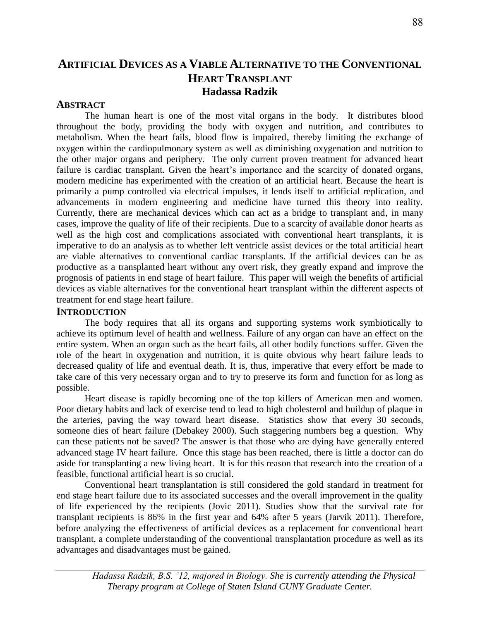## **ARTIFICIAL DEVICES AS A VIABLE ALTERNATIVE TO THE CONVENTIONAL HEART TRANSPLANT Hadassa Radzik**

## **ABSTRACT**

The human heart is one of the most vital organs in the body. It distributes blood throughout the body, providing the body with oxygen and nutrition, and contributes to metabolism. When the heart fails, blood flow is impaired, thereby limiting the exchange of oxygen within the cardiopulmonary system as well as diminishing oxygenation and nutrition to the other major organs and periphery. The only current proven treatment for advanced heart failure is cardiac transplant. Given the heart's importance and the scarcity of donated organs, modern medicine has experimented with the creation of an artificial heart. Because the heart is primarily a pump controlled via electrical impulses, it lends itself to artificial replication, and advancements in modern engineering and medicine have turned this theory into reality. Currently, there are mechanical devices which can act as a bridge to transplant and, in many cases, improve the quality of life of their recipients. Due to a scarcity of available donor hearts as well as the high cost and complications associated with conventional heart transplants, it is imperative to do an analysis as to whether left ventricle assist devices or the total artificial heart are viable alternatives to conventional cardiac transplants. If the artificial devices can be as productive as a transplanted heart without any overt risk, they greatly expand and improve the prognosis of patients in end stage of heart failure. This paper will weigh the benefits of artificial devices as viable alternatives for the conventional heart transplant within the different aspects of treatment for end stage heart failure.

## **INTRODUCTION**

The body requires that all its organs and supporting systems work symbiotically to achieve its optimum level of health and wellness. Failure of any organ can have an effect on the entire system. When an organ such as the heart fails, all other bodily functions suffer. Given the role of the heart in oxygenation and nutrition, it is quite obvious why heart failure leads to decreased quality of life and eventual death. It is, thus, imperative that every effort be made to take care of this very necessary organ and to try to preserve its form and function for as long as possible.

Heart disease is rapidly becoming one of the top killers of American men and women. Poor dietary habits and lack of exercise tend to lead to high cholesterol and buildup of plaque in the arteries, paving the way toward heart disease. Statistics show that every 30 seconds, someone dies of heart failure (Debakey 2000). Such staggering numbers beg a question. Why can these patients not be saved? The answer is that those who are dying have generally entered advanced stage IV heart failure. Once this stage has been reached, there is little a doctor can do aside for transplanting a new living heart. It is for this reason that research into the creation of a feasible, functional artificial heart is so crucial.

Conventional heart transplantation is still considered the gold standard in treatment for end stage heart failure due to its associated successes and the overall improvement in the quality of life experienced by the recipients (Jovic 2011). Studies show that the survival rate for transplant recipients is 86% in the first year and 64% after 5 years (Jarvik 2011). Therefore, before analyzing the effectiveness of artificial devices as a replacement for conventional heart transplant, a complete understanding of the conventional transplantation procedure as well as its advantages and disadvantages must be gained.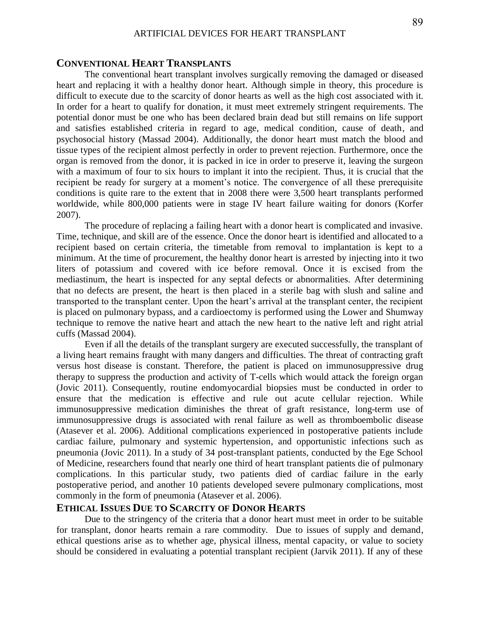## **CONVENTIONAL HEART TRANSPLANTS**

The conventional heart transplant involves surgically removing the damaged or diseased heart and replacing it with a healthy donor heart. Although simple in theory, this procedure is difficult to execute due to the scarcity of donor hearts as well as the high cost associated with it. In order for a heart to qualify for donation, it must meet extremely stringent requirements. The potential donor must be one who has been declared brain dead but still remains on life support and satisfies established criteria in regard to age, medical condition, cause of death, and psychosocial history (Massad 2004). Additionally, the donor heart must match the blood and tissue types of the recipient almost perfectly in order to prevent rejection. Furthermore, once the organ is removed from the donor, it is packed in ice in order to preserve it, leaving the surgeon with a maximum of four to six hours to implant it into the recipient. Thus, it is crucial that the recipient be ready for surgery at a moment's notice. The convergence of all these prerequisite conditions is quite rare to the extent that in 2008 there were 3,500 heart transplants performed worldwide, while 800,000 patients were in stage IV heart failure waiting for donors (Korfer 2007).

The procedure of replacing a failing heart with a donor heart is complicated and invasive. Time, technique, and skill are of the essence. Once the donor heart is identified and allocated to a recipient based on certain criteria, the timetable from removal to implantation is kept to a minimum. At the time of procurement, the healthy donor heart is arrested by injecting into it two liters of potassium and covered with ice before removal. Once it is excised from the mediastinum, the heart is inspected for any septal defects or abnormalities. After determining that no defects are present, the heart is then placed in a sterile bag with slush and saline and transported to the transplant center. Upon the heart's arrival at the transplant center, the recipient is placed on pulmonary bypass, and a cardioectomy is performed using the Lower and Shumway technique to remove the native heart and attach the new heart to the native left and right atrial cuffs (Massad 2004).

Even if all the details of the transplant surgery are executed successfully, the transplant of a living heart remains fraught with many dangers and difficulties. The threat of contracting graft versus host disease is constant. Therefore, the patient is placed on immunosuppressive drug therapy to suppress the production and activity of T-cells which would attack the foreign organ (Jovic 2011). Consequently, routine endomyocardial biopsies must be conducted in order to ensure that the medication is effective and rule out acute cellular rejection. While immunosuppressive medication diminishes the threat of graft resistance, long-term use of immunosuppressive drugs is associated with renal failure as well as thromboembolic disease (Atasever et al. 2006). Additional complications experienced in postoperative patients include cardiac failure, pulmonary and systemic hypertension, and opportunistic infections such as pneumonia (Jovic 2011). In a study of 34 post-transplant patients, conducted by the Ege School of Medicine, researchers found that nearly one third of heart transplant patients die of pulmonary complications. In this particular study, two patients died of cardiac failure in the early postoperative period, and another 10 patients developed severe pulmonary complications, most commonly in the form of pneumonia (Atasever et al. 2006).

## **ETHICAL ISSUES DUE TO SCARCITY OF DONOR HEARTS**

Due to the stringency of the criteria that a donor heart must meet in order to be suitable for transplant, donor hearts remain a rare commodity. Due to issues of supply and demand, ethical questions arise as to whether age, physical illness, mental capacity, or value to society should be considered in evaluating a potential transplant recipient (Jarvik 2011). If any of these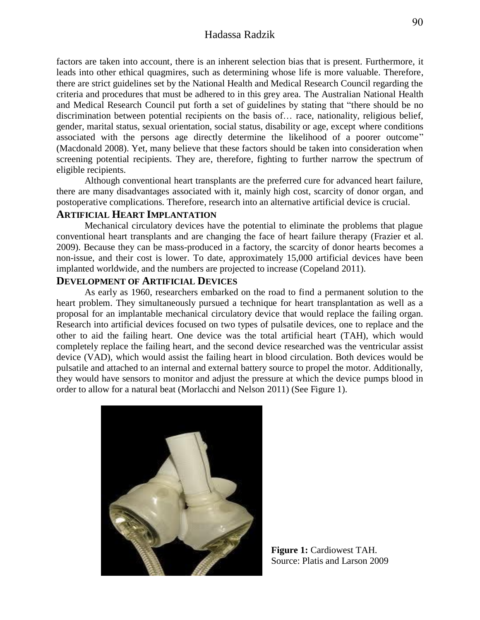## Hadassa Radzik

factors are taken into account, there is an inherent selection bias that is present. Furthermore, it leads into other ethical quagmires, such as determining whose life is more valuable. Therefore, there are strict guidelines set by the National Health and Medical Research Council regarding the criteria and procedures that must be adhered to in this grey area. The Australian National Health and Medical Research Council put forth a set of guidelines by stating that "there should be no discrimination between potential recipients on the basis of… race, nationality, religious belief, gender, marital status, sexual orientation, social status, disability or age, except where conditions associated with the persons age directly determine the likelihood of a poorer outcome" (Macdonald 2008). Yet, many believe that these factors should be taken into consideration when screening potential recipients. They are, therefore, fighting to further narrow the spectrum of eligible recipients.

Although conventional heart transplants are the preferred cure for advanced heart failure, there are many disadvantages associated with it, mainly high cost, scarcity of donor organ, and postoperative complications. Therefore, research into an alternative artificial device is crucial.

#### **ARTIFICIAL HEART IMPLANTATION**

Mechanical circulatory devices have the potential to eliminate the problems that plague conventional heart transplants and are changing the face of heart failure therapy (Frazier et al. 2009). Because they can be mass-produced in a factory, the scarcity of donor hearts becomes a non-issue, and their cost is lower. To date, approximately 15,000 artificial devices have been implanted worldwide, and the numbers are projected to increase (Copeland 2011).

## **DEVELOPMENT OF ARTIFICIAL DEVICES**

As early as 1960, researchers embarked on the road to find a permanent solution to the heart problem. They simultaneously pursued a technique for heart transplantation as well as a proposal for an implantable mechanical circulatory device that would replace the failing organ. Research into artificial devices focused on two types of pulsatile devices, one to replace and the other to aid the failing heart. One device was the total artificial heart (TAH), which would completely replace the failing heart, and the second device researched was the ventricular assist device (VAD), which would assist the failing heart in blood circulation. Both devices would be pulsatile and attached to an internal and external battery source to propel the motor. Additionally, they would have sensors to monitor and adjust the pressure at which the device pumps blood in order to allow for a natural beat (Morlacchi and Nelson 2011) (See Figure 1).



**Figure 1:** Cardiowest TAH. Source: Platis and Larson 2009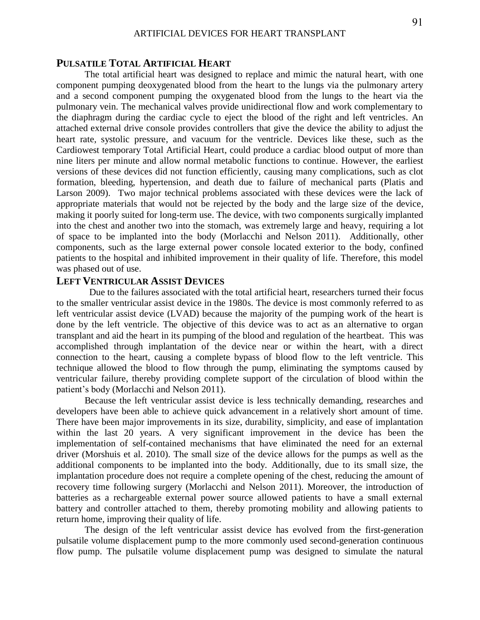## **PULSATILE TOTAL ARTIFICIAL HEART**

The total artificial heart was designed to replace and mimic the natural heart, with one component pumping deoxygenated blood from the heart to the lungs via the pulmonary artery and a second component pumping the oxygenated blood from the lungs to the heart via the pulmonary vein. The mechanical valves provide unidirectional flow and work complementary to the diaphragm during the cardiac cycle to eject the blood of the right and left ventricles. An attached external drive console provides controllers that give the device the ability to adjust the heart rate, systolic pressure, and vacuum for the ventricle. Devices like these, such as the Cardiowest temporary Total Artificial Heart, could produce a cardiac blood output of more than nine liters per minute and allow normal metabolic functions to continue. However, the earliest versions of these devices did not function efficiently, causing many complications, such as clot formation, bleeding, hypertension, and death due to failure of mechanical parts (Platis and Larson 2009). Two major technical problems associated with these devices were the lack of appropriate materials that would not be rejected by the body and the large size of the device, making it poorly suited for long-term use. The device, with two components surgically implanted into the chest and another two into the stomach, was extremely large and heavy, requiring a lot of space to be implanted into the body (Morlacchi and Nelson 2011). Additionally, other components, such as the large external power console located exterior to the body, confined patients to the hospital and inhibited improvement in their quality of life. Therefore, this model was phased out of use.

## **LEFT VENTRICULAR ASSIST DEVICES**

 Due to the failures associated with the total artificial heart, researchers turned their focus to the smaller ventricular assist device in the 1980s. The device is most commonly referred to as left ventricular assist device (LVAD) because the majority of the pumping work of the heart is done by the left ventricle. The objective of this device was to act as an alternative to organ transplant and aid the heart in its pumping of the blood and regulation of the heartbeat. This was accomplished through implantation of the device near or within the heart, with a direct connection to the heart, causing a complete bypass of blood flow to the left ventricle. This technique allowed the blood to flow through the pump, eliminating the symptoms caused by ventricular failure, thereby providing complete support of the circulation of blood within the patient's body (Morlacchi and Nelson 2011).

Because the left ventricular assist device is less technically demanding, researches and developers have been able to achieve quick advancement in a relatively short amount of time. There have been major improvements in its size, durability, simplicity, and ease of implantation within the last 20 years. A very significant improvement in the device has been the implementation of self-contained mechanisms that have eliminated the need for an external driver (Morshuis et al. 2010). The small size of the device allows for the pumps as well as the additional components to be implanted into the body. Additionally, due to its small size, the implantation procedure does not require a complete opening of the chest, reducing the amount of recovery time following surgery (Morlacchi and Nelson 2011). Moreover, the introduction of batteries as a rechargeable external power source allowed patients to have a small external battery and controller attached to them, thereby promoting mobility and allowing patients to return home, improving their quality of life.

The design of the left ventricular assist device has evolved from the first-generation pulsatile volume displacement pump to the more commonly used second-generation continuous flow pump. The pulsatile volume displacement pump was designed to simulate the natural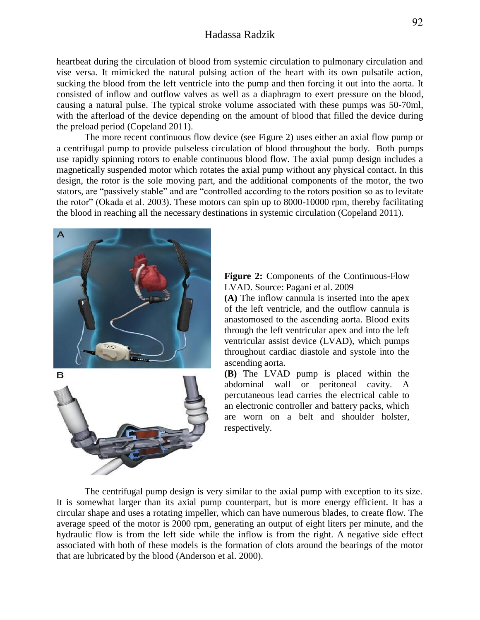## Hadassa Radzik

heartbeat during the circulation of blood from systemic circulation to pulmonary circulation and vise versa. It mimicked the natural pulsing action of the heart with its own pulsatile action, sucking the blood from the left ventricle into the pump and then forcing it out into the aorta. It consisted of inflow and outflow valves as well as a diaphragm to exert pressure on the blood, causing a natural pulse. The typical stroke volume associated with these pumps was 50-70ml, with the afterload of the device depending on the amount of blood that filled the device during the preload period (Copeland 2011).

The more recent continuous flow device (see Figure 2) uses either an axial flow pump or a centrifugal pump to provide pulseless circulation of blood throughout the body. Both pumps use rapidly spinning rotors to enable continuous blood flow. The axial pump design includes a magnetically suspended motor which rotates the axial pump without any physical contact. In this design, the rotor is the sole moving part, and the additional components of the motor, the two stators, are "passively stable" and are "controlled according to the rotors position so as to levitate the rotor" (Okada et al. 2003). These motors can spin up to 8000-10000 rpm, thereby facilitating the blood in reaching all the necessary destinations in systemic circulation (Copeland 2011).



**Figure 2:** Components of the Continuous-Flow LVAD. Source: Pagani et al. 2009

**(A)** The inflow cannula is inserted into the apex of the left ventricle, and the outflow cannula is anastomosed to the ascending aorta. Blood exits through the left ventricular apex and into the left ventricular assist device (LVAD), which pumps throughout cardiac diastole and systole into the ascending aorta.

**(B)** The LVAD pump is placed within the abdominal wall or peritoneal cavity. A percutaneous lead carries the electrical cable to an electronic controller and battery packs, which are worn on a belt and shoulder holster, respectively.

The centrifugal pump design is very similar to the axial pump with exception to its size. It is somewhat larger than its axial pump counterpart, but is more energy efficient. It has a circular shape and uses a rotating impeller, which can have numerous blades, to create flow. The average speed of the motor is 2000 rpm, generating an output of eight liters per minute, and the hydraulic flow is from the left side while the inflow is from the right. A negative side effect associated with both of these models is the formation of clots around the bearings of the motor that are lubricated by the blood (Anderson et al. 2000).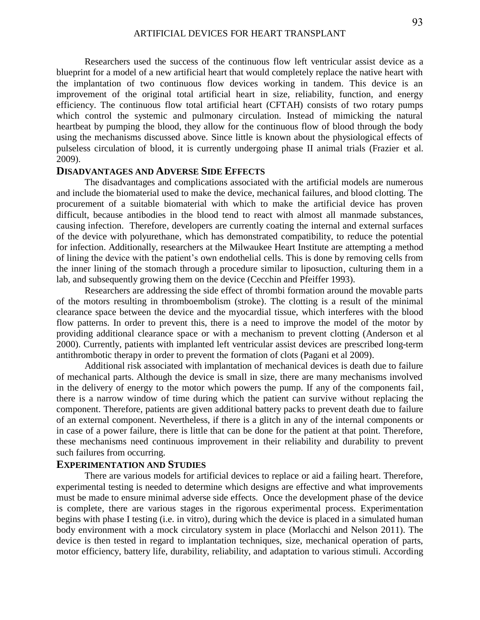Researchers used the success of the continuous flow left ventricular assist device as a blueprint for a model of a new artificial heart that would completely replace the native heart with the implantation of two continuous flow devices working in tandem. This device is an improvement of the original total artificial heart in size, reliability, function, and energy efficiency. The continuous flow total artificial heart (CFTAH) consists of two rotary pumps which control the systemic and pulmonary circulation. Instead of mimicking the natural heartbeat by pumping the blood, they allow for the continuous flow of blood through the body using the mechanisms discussed above. Since little is known about the physiological effects of pulseless circulation of blood, it is currently undergoing phase II animal trials (Frazier et al. 2009).

#### **DISADVANTAGES AND ADVERSE SIDE EFFECTS**

The disadvantages and complications associated with the artificial models are numerous and include the biomaterial used to make the device, mechanical failures, and blood clotting. The procurement of a suitable biomaterial with which to make the artificial device has proven difficult, because antibodies in the blood tend to react with almost all manmade substances, causing infection. Therefore, developers are currently coating the internal and external surfaces of the device with polyurethane, which has demonstrated compatibility, to reduce the potential for infection. Additionally, researchers at the Milwaukee Heart Institute are attempting a method of lining the device with the patient's own endothelial cells. This is done by removing cells from the inner lining of the stomach through a procedure similar to liposuction, culturing them in a lab, and subsequently growing them on the device (Cecchin and Pfeiffer 1993).

Researchers are addressing the side effect of thrombi formation around the movable parts of the motors resulting in thromboembolism (stroke). The clotting is a result of the minimal clearance space between the device and the myocardial tissue, which interferes with the blood flow patterns. In order to prevent this, there is a need to improve the model of the motor by providing additional clearance space or with a mechanism to prevent clotting (Anderson et al 2000). Currently, patients with implanted left ventricular assist devices are prescribed long-term antithrombotic therapy in order to prevent the formation of clots (Pagani et al 2009).

Additional risk associated with implantation of mechanical devices is death due to failure of mechanical parts. Although the device is small in size, there are many mechanisms involved in the delivery of energy to the motor which powers the pump. If any of the components fail, there is a narrow window of time during which the patient can survive without replacing the component. Therefore, patients are given additional battery packs to prevent death due to failure of an external component. Nevertheless, if there is a glitch in any of the internal components or in case of a power failure, there is little that can be done for the patient at that point. Therefore, these mechanisms need continuous improvement in their reliability and durability to prevent such failures from occurring.

#### **EXPERIMENTATION AND STUDIES**

There are various models for artificial devices to replace or aid a failing heart. Therefore, experimental testing is needed to determine which designs are effective and what improvements must be made to ensure minimal adverse side effects. Once the development phase of the device is complete, there are various stages in the rigorous experimental process. Experimentation begins with phase I testing (i.e. in vitro), during which the device is placed in a simulated human body environment with a mock circulatory system in place (Morlacchi and Nelson 2011). The device is then tested in regard to implantation techniques, size, mechanical operation of parts, motor efficiency, battery life, durability, reliability, and adaptation to various stimuli. According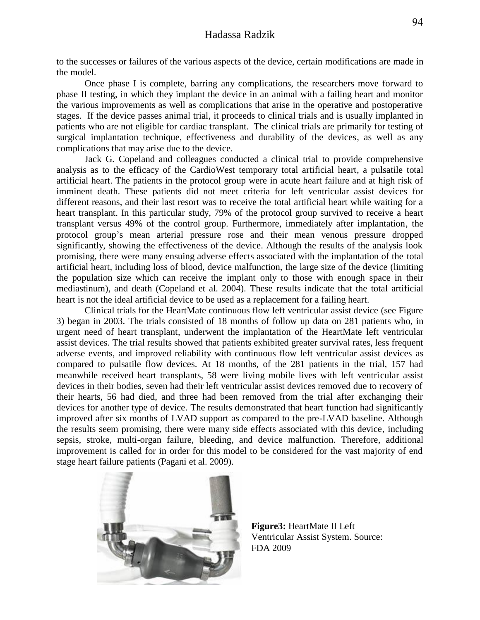to the successes or failures of the various aspects of the device, certain modifications are made in the model.

Once phase I is complete, barring any complications, the researchers move forward to phase II testing, in which they implant the device in an animal with a failing heart and monitor the various improvements as well as complications that arise in the operative and postoperative stages. If the device passes animal trial, it proceeds to clinical trials and is usually implanted in patients who are not eligible for cardiac transplant. The clinical trials are primarily for testing of surgical implantation technique, effectiveness and durability of the devices, as well as any complications that may arise due to the device.

Jack G. Copeland and colleagues conducted a clinical trial to provide comprehensive analysis as to the efficacy of the CardioWest temporary total artificial heart, a pulsatile total artificial heart. The patients in the protocol group were in acute heart failure and at high risk of imminent death. These patients did not meet criteria for left ventricular assist devices for different reasons, and their last resort was to receive the total artificial heart while waiting for a heart transplant. In this particular study, 79% of the protocol group survived to receive a heart transplant versus 49% of the control group. Furthermore, immediately after implantation, the protocol group's mean arterial pressure rose and their mean venous pressure dropped significantly, showing the effectiveness of the device. Although the results of the analysis look promising, there were many ensuing adverse effects associated with the implantation of the total artificial heart, including loss of blood, device malfunction, the large size of the device (limiting the population size which can receive the implant only to those with enough space in their mediastinum), and death (Copeland et al. 2004). These results indicate that the total artificial heart is not the ideal artificial device to be used as a replacement for a failing heart.

Clinical trials for the HeartMate continuous flow left ventricular assist device (see Figure 3) began in 2003. The trials consisted of 18 months of follow up data on 281 patients who, in urgent need of heart transplant, underwent the implantation of the HeartMate left ventricular assist devices. The trial results showed that patients exhibited greater survival rates, less frequent adverse events, and improved reliability with continuous flow left ventricular assist devices as compared to pulsatile flow devices. At 18 months, of the 281 patients in the trial, 157 had meanwhile received heart transplants, 58 were living mobile lives with left ventricular assist devices in their bodies, seven had their left ventricular assist devices removed due to recovery of their hearts, 56 had died, and three had been removed from the trial after exchanging their devices for another type of device. The results demonstrated that heart function had significantly improved after six months of LVAD support as compared to the pre-LVAD baseline. Although the results seem promising, there were many side effects associated with this device, including sepsis, stroke, multi-organ failure, bleeding, and device malfunction. Therefore, additional improvement is called for in order for this model to be considered for the vast majority of end stage heart failure patients (Pagani et al. 2009).



**Figure3:** HeartMate II Left Ventricular Assist System. Source: FDA 2009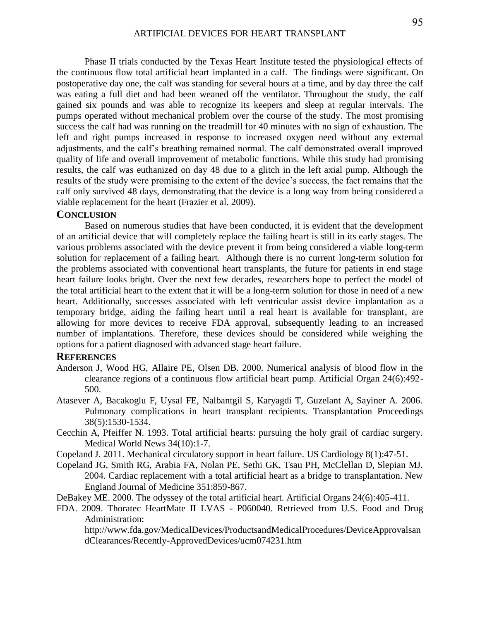Phase II trials conducted by the Texas Heart Institute tested the physiological effects of the continuous flow total artificial heart implanted in a calf. The findings were significant. On postoperative day one, the calf was standing for several hours at a time, and by day three the calf was eating a full diet and had been weaned off the ventilator. Throughout the study, the calf gained six pounds and was able to recognize its keepers and sleep at regular intervals. The pumps operated without mechanical problem over the course of the study. The most promising success the calf had was running on the treadmill for 40 minutes with no sign of exhaustion. The left and right pumps increased in response to increased oxygen need without any external adjustments, and the calf's breathing remained normal. The calf demonstrated overall improved quality of life and overall improvement of metabolic functions. While this study had promising results, the calf was euthanized on day 48 due to a glitch in the left axial pump. Although the results of the study were promising to the extent of the device's success, the fact remains that the calf only survived 48 days, demonstrating that the device is a long way from being considered a viable replacement for the heart (Frazier et al. 2009).

#### **CONCLUSION**

 Based on numerous studies that have been conducted, it is evident that the development of an artificial device that will completely replace the failing heart is still in its early stages. The various problems associated with the device prevent it from being considered a viable long-term solution for replacement of a failing heart. Although there is no current long-term solution for the problems associated with conventional heart transplants, the future for patients in end stage heart failure looks bright. Over the next few decades, researchers hope to perfect the model of the total artificial heart to the extent that it will be a long-term solution for those in need of a new heart. Additionally, successes associated with left ventricular assist device implantation as a temporary bridge, aiding the failing heart until a real heart is available for transplant, are allowing for more devices to receive FDA approval, subsequently leading to an increased number of implantations. Therefore, these devices should be considered while weighing the options for a patient diagnosed with advanced stage heart failure.

#### **REFERENCES**

- Anderson J, Wood HG, Allaire PE, Olsen DB. 2000. Numerical analysis of blood flow in the clearance regions of a continuous flow artificial heart pump. Artificial Organ 24(6):492- 500.
- Atasever A, Bacakoglu F, Uysal FE, Nalbantgil S, Karyagdi T, Guzelant A, Sayiner A. 2006. Pulmonary complications in heart transplant recipients. Transplantation Proceedings 38(5):1530-1534.
- Cecchin A, Pfeiffer N. 1993. Total artificial hearts: pursuing the holy grail of cardiac surgery. Medical World News 34(10):1-7.
- Copeland J. 2011. Mechanical circulatory support in heart failure. US Cardiology 8(1):47-51.
- Copeland JG, Smith RG, Arabia FA, Nolan PE, Sethi GK, Tsau PH, McClellan D, Slepian MJ. 2004. Cardiac replacement with a total artificial heart as a bridge to transplantation. New England Journal of Medicine 351:859-867.
- DeBakey ME. 2000. The odyssey of the total artificial heart. Artificial Organs 24(6):405-411.
- FDA. 2009. Thoratec HeartMate II LVAS P060040. Retrieved from U.S. Food and Drug Administration:

http://www.fda.gov/MedicalDevices/ProductsandMedicalProcedures/DeviceApprovalsan dClearances/Recently-ApprovedDevices/ucm074231.htm